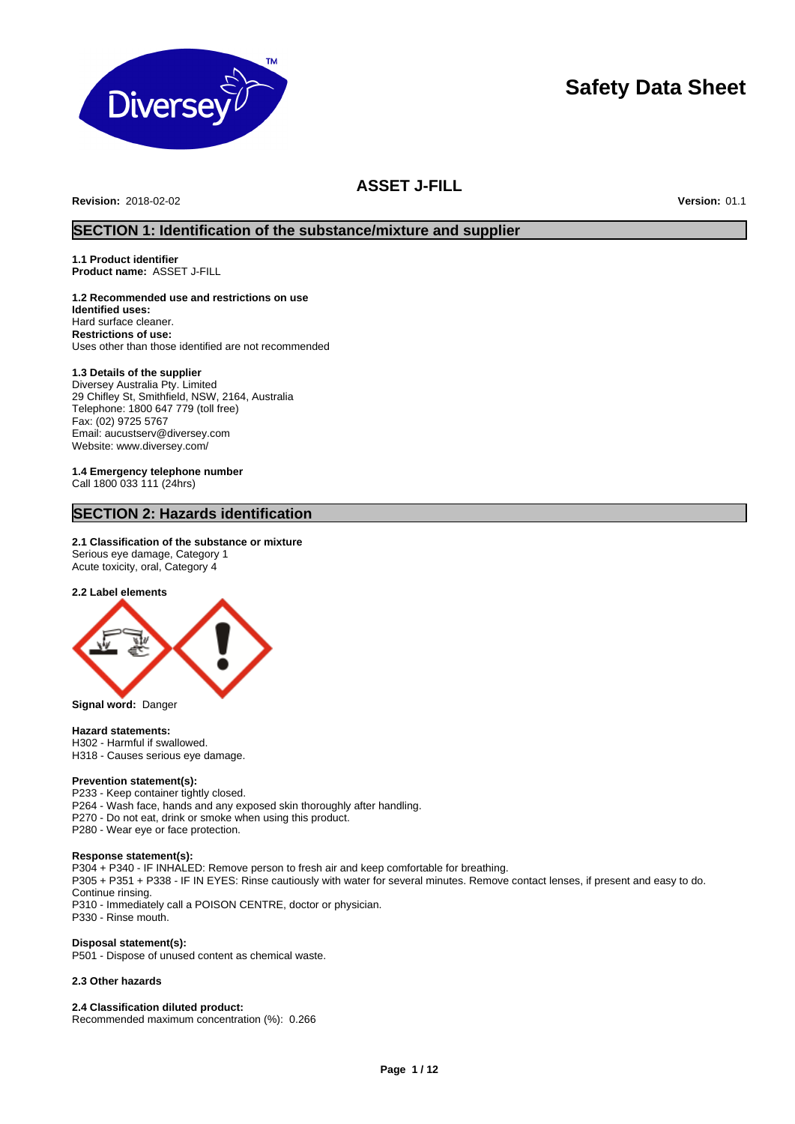

# **Safety Data Sheet**

# **ASSET J-FILL**

**Revision:** 2018-02-02 **Version:** 01.1

# **SECTION 1: Identification of the substance/mixture and supplier**

**1.1 Product identifier Product name:** ASSET J-FILL

**1.2 Recommended use and restrictions on use Identified uses:**  Hard surface cleaner. **Restrictions of use:**  Uses other than those identified are not recommended

#### **1.3 Details of the supplier**

Diversey Australia Pty. Limited 29 Chifley St, Smithfield, NSW, 2164, Australia Telephone: 1800 647 779 (toll free) Fax: (02) 9725 5767 Email: aucustserv@diversey.com Website: www.diversey.com/

**1.4 Emergency telephone number** Call 1800 033 111 (24hrs)

# **SECTION 2: Hazards identification**

### **2.1 Classification of the substance or mixture**

Serious eye damage, Category 1 Acute toxicity, oral, Category 4

#### **2.2 Label elements**



**Signal word:** Danger

#### **Hazard statements:**

H302 - Harmful if swallowed. H318 - Causes serious eye damage.

# **Prevention statement(s):**

P233 - Keep container tightly closed. P264 - Wash face, hands and any exposed skin thoroughly after handling. P270 - Do not eat, drink or smoke when using this product. P280 - Wear eye or face protection.

#### **Response statement(s):**

P304 + P340 - IF INHALED: Remove person to fresh air and keep comfortable for breathing. P305 + P351 + P338 - IF IN EYES: Rinse cautiously with water for several minutes. Remove contact lenses, if present and easy to do. Continue rinsing. P310 - Immediately call a POISON CENTRE, doctor or physician. P330 - Rinse mouth.

#### **Disposal statement(s):**

P501 - Dispose of unused content as chemical waste.

#### **2.3 Other hazards**

**2.4 Classification diluted product:** Recommended maximum concentration (%): 0.266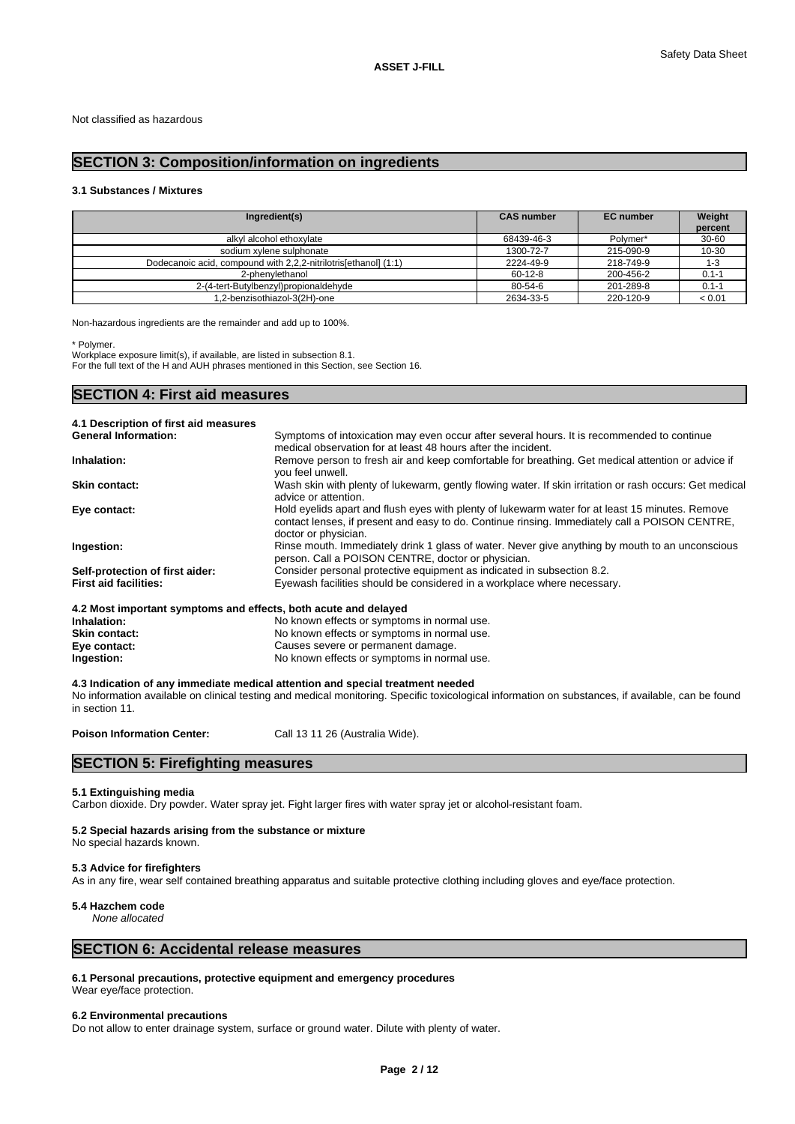# **SECTION 3: Composition/information on ingredients**

### **3.1 Substances / Mixtures**

| Ingredient(s)                                                   | <b>CAS number</b> | <b>EC</b> number | Weight<br>percent |
|-----------------------------------------------------------------|-------------------|------------------|-------------------|
| alkyl alcohol ethoxylate                                        | 68439-46-3        | Polymer*         | $30 - 60$         |
| sodium xylene sulphonate                                        | 1300-72-7         | 215-090-9        | 10-30             |
| Dodecanoic acid, compound with 2,2,2-nitrilotrisfethanol] (1:1) | 2224-49-9         | 218-749-9        | 1-3               |
| 2-phenvlethanol                                                 | $60-12-8$         | 200-456-2        | $0.1 - 1$         |
| 2-(4-tert-Butylbenzyl)propionaldehyde                           | 80-54-6           | 201-289-8        | $0.1 - 1$         |
| 1,2-benzisothiazol-3(2H)-one                                    | 2634-33-5         | 220-120-9        | < 0.01            |

Non-hazardous ingredients are the remainder and add up to 100%.

\* Polymer.

Workplace exposure limit(s), if available, are listed in subsection 8.1. For the full text of the H and AUH phrases mentioned in this Section, see Section 16.

# **SECTION 4: First aid measures**

| 4.1 Description of first aid measures                           |                                                                                                                                                                                                                           |
|-----------------------------------------------------------------|---------------------------------------------------------------------------------------------------------------------------------------------------------------------------------------------------------------------------|
| <b>General Information:</b>                                     | Symptoms of intoxication may even occur after several hours. It is recommended to continue                                                                                                                                |
|                                                                 | medical observation for at least 48 hours after the incident.                                                                                                                                                             |
| <b>Inhalation:</b>                                              | Remove person to fresh air and keep comfortable for breathing. Get medical attention or advice if<br>you feel unwell.                                                                                                     |
| <b>Skin contact:</b>                                            | Wash skin with plenty of lukewarm, gently flowing water. If skin irritation or rash occurs: Get medical<br>advice or attention.                                                                                           |
| Eye contact:                                                    | Hold eyelids apart and flush eyes with plenty of lukewarm water for at least 15 minutes. Remove<br>contact lenses, if present and easy to do. Continue rinsing. Immediately call a POISON CENTRE,<br>doctor or physician. |
| Ingestion:                                                      | Rinse mouth. Immediately drink 1 glass of water. Never give anything by mouth to an unconscious<br>person. Call a POISON CENTRE, doctor or physician.                                                                     |
| Self-protection of first aider:                                 | Consider personal protective equipment as indicated in subsection 8.2.                                                                                                                                                    |
| <b>First aid facilities:</b>                                    | Eyewash facilities should be considered in a workplace where necessary.                                                                                                                                                   |
| 4.2 Most important symptoms and effects, both acute and delayed |                                                                                                                                                                                                                           |
| Inhalation:                                                     | No known effects or symptoms in normal use.                                                                                                                                                                               |
| Skin contact:                                                   | No known effects or symptoms in normal use.                                                                                                                                                                               |
| Eye contact:                                                    | Causes severe or permanent damage.                                                                                                                                                                                        |

**Ingestion:** No known effects or symptoms in normal use. **4.3 Indication of any immediate medical attention and special treatment needed**

No information available on clinical testing and medical monitoring. Specific toxicological information on substances, if available, can be found in section 11.

Poison Information Center: Call 13 11 26 (Australia Wide).

# **SECTION 5: Firefighting measures**

#### **5.1 Extinguishing media**

Carbon dioxide. Dry powder. Water spray jet. Fight larger fires with water spray jet or alcohol-resistant foam.

#### **5.2 Special hazards arising from the substance or mixture**

No special hazards known.

#### **5.3 Advice for firefighters**

As in any fire, wear self contained breathing apparatus and suitable protective clothing including gloves and eye/face protection.

#### **5.4 Hazchem code**

*None allocated*

# **SECTION 6: Accidental release measures**

**6.1 Personal precautions, protective equipment and emergency procedures** Wear eye/face protection.

#### **6.2 Environmental precautions**

Do not allow to enter drainage system, surface or ground water. Dilute with plenty of water.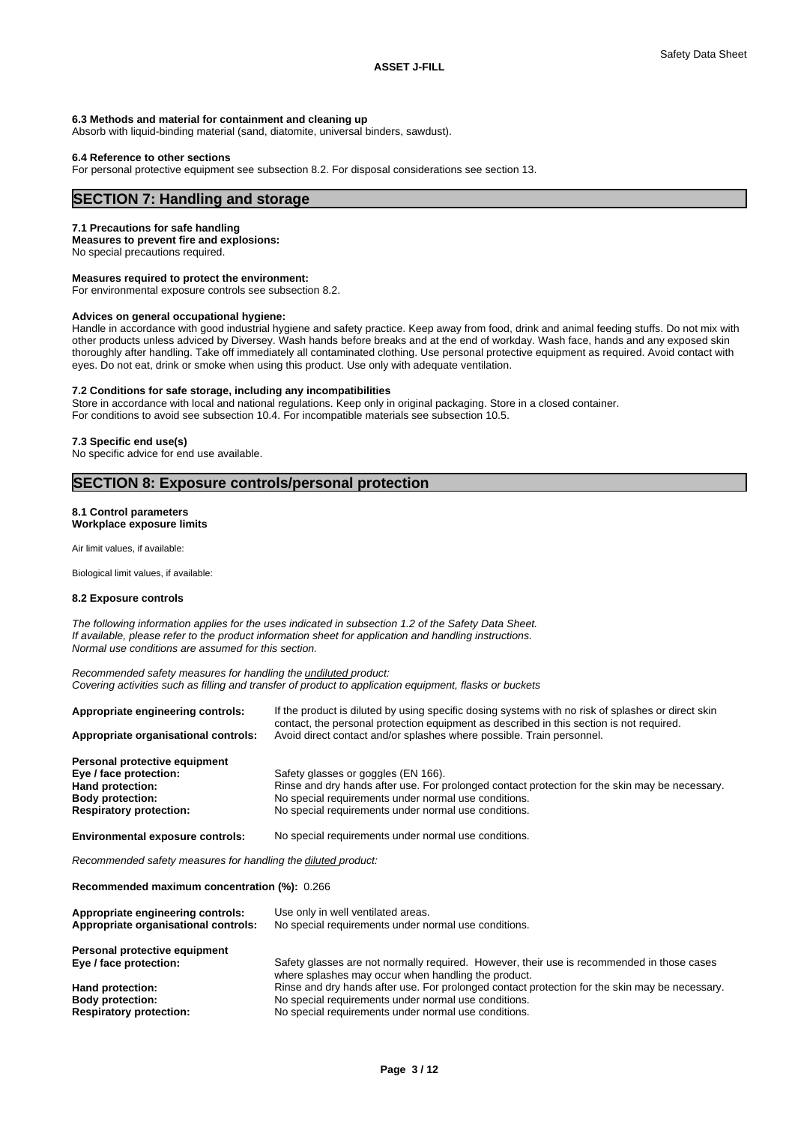#### **6.3 Methods and material for containment and cleaning up**

Absorb with liquid-binding material (sand, diatomite, universal binders, sawdust).

#### **6.4 Reference to other sections**

For personal protective equipment see subsection 8.2. For disposal considerations see section 13.

# **SECTION 7: Handling and storage**

#### **7.1 Precautions for safe handling**

**Measures to prevent fire and explosions:**

No special precautions required.

# **Measures required to protect the environment:**

For environmental exposure controls see subsection 8.2.

#### **Advices on general occupational hygiene:**

Handle in accordance with good industrial hygiene and safety practice. Keep away from food, drink and animal feeding stuffs. Do not mix with other products unless adviced by Diversey. Wash hands before breaks and at the end of workday. Wash face, hands and any exposed skin thoroughly after handling. Take off immediately all contaminated clothing. Use personal protective equipment as required. Avoid contact with eyes. Do not eat, drink or smoke when using this product. Use only with adequate ventilation.

#### **7.2 Conditions for safe storage, including any incompatibilities**

Store in accordance with local and national regulations. Keep only in original packaging. Store in a closed container. For conditions to avoid see subsection 10.4. For incompatible materials see subsection 10.5.

#### **7.3 Specific end use(s)**

No specific advice for end use available.

# **SECTION 8: Exposure controls/personal protection**

#### **8.1 Control parameters Workplace exposure limits**

Air limit values, if available:

Biological limit values, if available:

#### **8.2 Exposure controls**

*The following information applies for the uses indicated in subsection 1.2 of the Safety Data Sheet. If available, please refer to the product information sheet for application and handling instructions. Normal use conditions are assumed for this section.*

*Recommended safety measures for handling the undiluted product: Covering activities such as filling and transfer of product to application equipment, flasks or buckets*

| If the product is diluted by using specific dosing systems with no risk of splashes or direct skin<br>contact, the personal protection equipment as described in this section is not required. |  |  |  |  |
|------------------------------------------------------------------------------------------------------------------------------------------------------------------------------------------------|--|--|--|--|
| Avoid direct contact and/or splashes where possible. Train personnel.                                                                                                                          |  |  |  |  |
|                                                                                                                                                                                                |  |  |  |  |
| Safety glasses or goggles (EN 166).                                                                                                                                                            |  |  |  |  |
| Rinse and dry hands after use. For prolonged contact protection for the skin may be necessary.                                                                                                 |  |  |  |  |
| No special requirements under normal use conditions.                                                                                                                                           |  |  |  |  |
| No special requirements under normal use conditions.                                                                                                                                           |  |  |  |  |
| No special requirements under normal use conditions.                                                                                                                                           |  |  |  |  |
|                                                                                                                                                                                                |  |  |  |  |

*Recommended safety measures for handling the diluted product:*

**Recommended maximum concentration (%):** 0.266

| Appropriate engineering controls:<br>Appropriate organisational controls: | Use only in well ventilated areas.<br>No special requirements under normal use conditions.                                                        |
|---------------------------------------------------------------------------|---------------------------------------------------------------------------------------------------------------------------------------------------|
| Personal protective equipment                                             |                                                                                                                                                   |
| Eye / face protection:                                                    | Safety glasses are not normally required. However, their use is recommended in those cases<br>where splashes may occur when handling the product. |
| Hand protection:                                                          | Rinse and dry hands after use. For prolonged contact protection for the skin may be necessary.                                                    |
| <b>Body protection:</b>                                                   | No special requirements under normal use conditions.                                                                                              |
| <b>Respiratory protection:</b>                                            | No special requirements under normal use conditions.                                                                                              |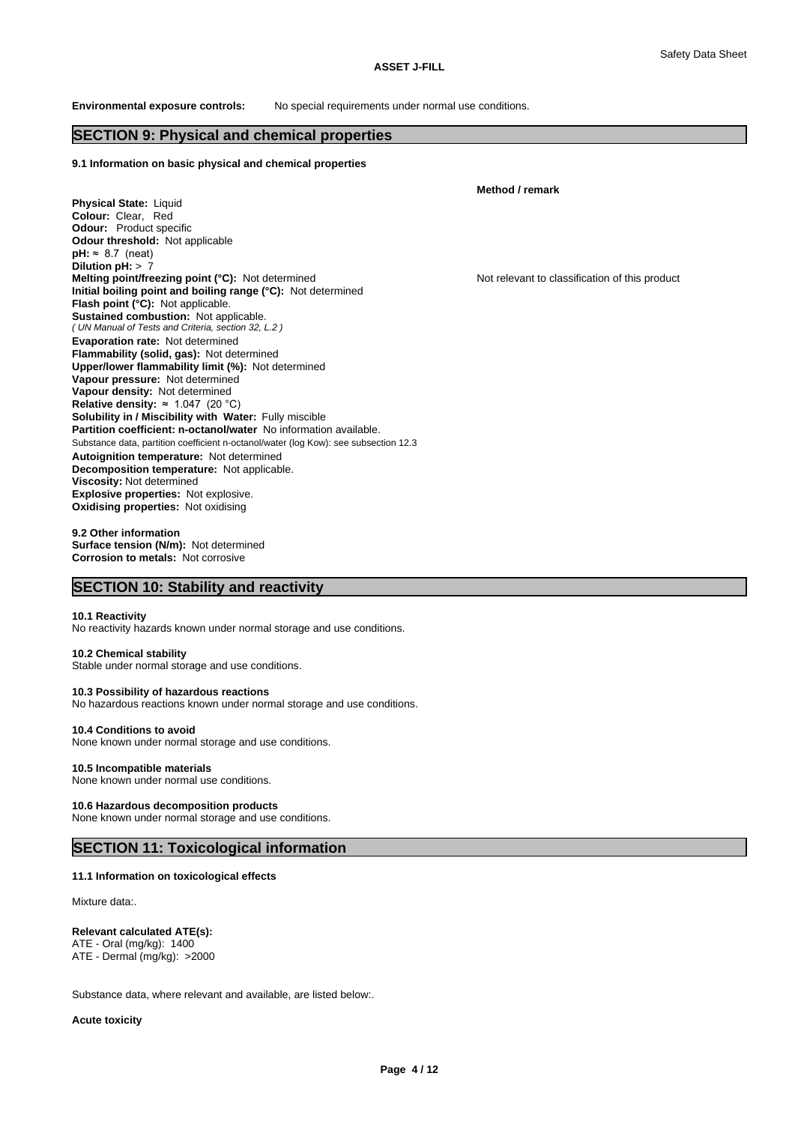#### **ASSET J-FILL**

**Environmental exposure controls:** No special requirements under normal use conditions.

# **SECTION 9: Physical and chemical properties**

#### **9.1 Information on basic physical and chemical properties**

**Physical State:** Liquid **Colour:** Clear, Red **Odour:** Product specific **Odour threshold:** Not applicable *( UN Manual of Tests and Criteria, section 32, L.2 )* **Solubility in / Miscibility with Water:** Fully miscible Substance data, partition coefficient n-octanol/water (log Kow): see subsection 12.3 **Decomposition temperature:** Not applicable.  $pH: \approx 8.7$  (neat) **Dilution pH:** > 7 **Melting point/freezing point (°C):** Not determined Not relevant to classification of this product **Initial boiling point and boiling range (°C):** Not determined **Flash point (°C):** Not applicable. **Sustained combustion:** Not applicable. **Evaporation rate:** Not determined **Flammability (solid, gas):** Not determined **Upper/lower flammability limit (%):** Not determined **Vapour pressure:** Not determined **Vapour density:** Not determined **Relative density:** ≈1.047(20°C) **Partition coefficient: n-octanol/water** No information available. **Autoignition temperature:** Not determined **Viscosity:** Not determined **Explosive properties:** Not explosive. **Oxidising properties:** Not oxidising

**Method / remark**

#### **9.2 Other information Surface tension (N/m):** Not determined **Corrosion to metals:** Not corrosive

## **SECTION 10: Stability and reactivity**

#### **10.1 Reactivity**

No reactivity hazards known under normal storage and use conditions.

#### **10.2 Chemical stability**

Stable under normal storage and use conditions.

#### **10.3 Possibility of hazardous reactions**

No hazardous reactions known under normal storage and use conditions.

#### **10.4 Conditions to avoid**

None known under normal storage and use conditions.

### **10.5 Incompatible materials**

None known under normal use conditions.

#### **10.6 Hazardous decomposition products**

None known under normal storage and use conditions.

# **SECTION 11: Toxicological information**

#### **11.1 Information on toxicological effects**

Mixture data:

#### **Relevant calculated ATE(s):**

ATE - Oral (mg/kg): 1400 ATE - Dermal (mg/kg): >2000

Substance data, where relevant and available, are listed below:.

**Acute toxicity**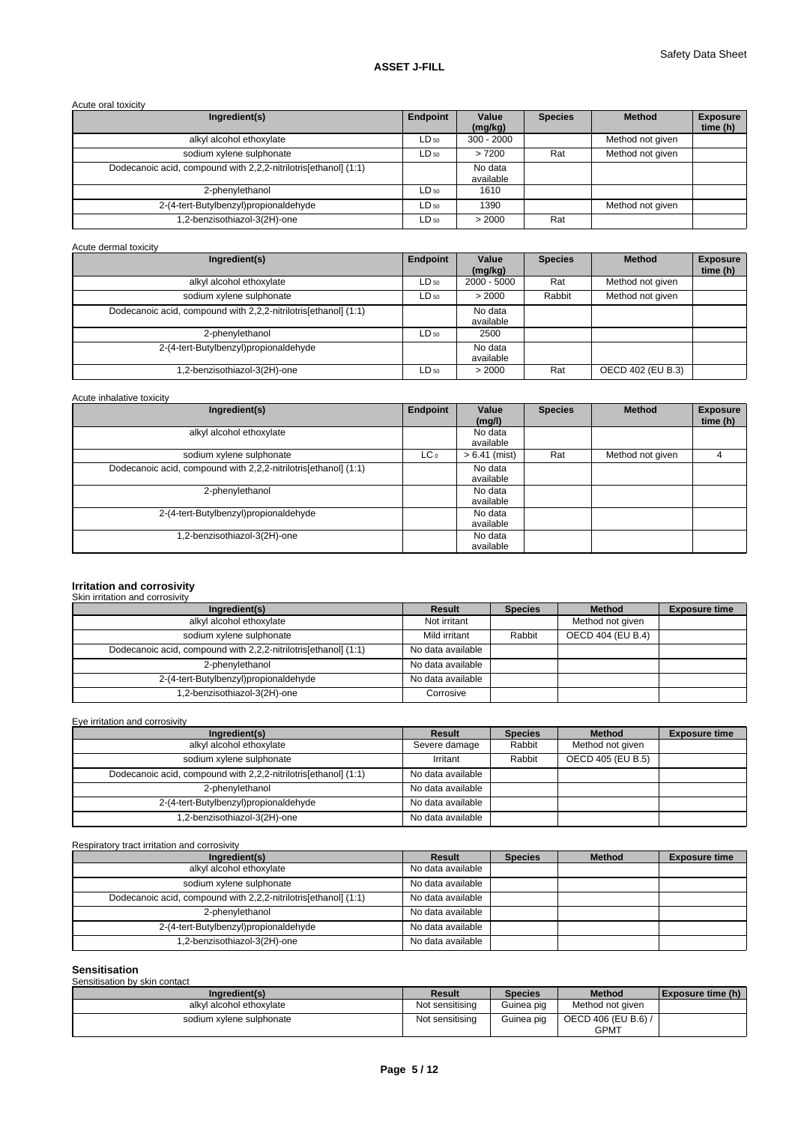# Acute oral toxicity

| Ingredient(s)                                                   | Endpoint  | Value<br>(mg/kg)     | <b>Species</b> | <b>Method</b>    | <b>Exposure</b><br>time (h) |
|-----------------------------------------------------------------|-----------|----------------------|----------------|------------------|-----------------------------|
| alkyl alcohol ethoxylate                                        | $LD_{50}$ | $300 - 2000$         |                | Method not given |                             |
| sodium xylene sulphonate                                        | $LD_{50}$ | >7200                | Rat            | Method not given |                             |
| Dodecanoic acid, compound with 2,2,2-nitrilotrisfethanol] (1:1) |           | No data<br>available |                |                  |                             |
| 2-phenylethanol                                                 | $LD_{50}$ | 1610                 |                |                  |                             |
| 2-(4-tert-Butylbenzyl)propionaldehyde                           | $LD_{50}$ | 1390                 |                | Method not given |                             |
| 1,2-benzisothiazol-3(2H)-one                                    | $LD_{50}$ | > 2000               | Rat            |                  |                             |

#### Acute dermal toxicity

| Ingredient(s)                                                   | Endpoint  | Value<br>(mq/kg)     | <b>Species</b> | <b>Method</b>     | <b>Exposure</b><br>time (h) |
|-----------------------------------------------------------------|-----------|----------------------|----------------|-------------------|-----------------------------|
| alkyl alcohol ethoxylate                                        | $LD_{50}$ | $2000 - 5000$        | Rat            | Method not given  |                             |
| sodium xylene sulphonate                                        | $LD_{50}$ | > 2000               | Rabbit         | Method not given  |                             |
| Dodecanoic acid, compound with 2,2,2-nitrilotris[ethanol] (1:1) |           | No data<br>available |                |                   |                             |
| 2-phenylethanol                                                 | $LD_{50}$ | 2500                 |                |                   |                             |
| 2-(4-tert-Butylbenzyl)propionaldehyde                           |           | No data<br>available |                |                   |                             |
| 1,2-benzisothiazol-3(2H)-one                                    | $LD_{50}$ | > 2000               | Rat            | OECD 402 (EU B.3) |                             |

# Acute inhalative toxicity

| Ingredient(s)                                                   | Endpoint        | Value<br>(mg/l)      | <b>Species</b> | <b>Method</b>    | <b>Exposure</b><br>time (h) |
|-----------------------------------------------------------------|-----------------|----------------------|----------------|------------------|-----------------------------|
| alkyl alcohol ethoxylate                                        |                 | No data<br>available |                |                  |                             |
| sodium xylene sulphonate                                        | LC <sub>0</sub> | $> 6.41$ (mist)      | Rat            | Method not given |                             |
| Dodecanoic acid, compound with 2,2,2-nitrilotris[ethanol] (1:1) |                 | No data<br>available |                |                  |                             |
| 2-phenylethanol                                                 |                 | No data<br>available |                |                  |                             |
| 2-(4-tert-Butylbenzyl)propionaldehyde                           |                 | No data<br>available |                |                  |                             |
| 1,2-benzisothiazol-3(2H)-one                                    |                 | No data<br>available |                |                  |                             |

# **Irritation and corrosivity** Skin irritation and corrosivity

| Ingredient(s)                                                   | Result            | <b>Species</b> | <b>Method</b>     | <b>Exposure time</b> |
|-----------------------------------------------------------------|-------------------|----------------|-------------------|----------------------|
| alkyl alcohol ethoxylate                                        | Not irritant      |                | Method not given  |                      |
| sodium xylene sulphonate                                        | Mild irritant     | Rabbit         | OECD 404 (EU B.4) |                      |
| Dodecanoic acid, compound with 2,2,2-nitrilotris[ethanol] (1:1) | No data available |                |                   |                      |
| 2-phenvlethanol                                                 | No data available |                |                   |                      |
| 2-(4-tert-Butylbenzyl)propionaldehyde                           | No data available |                |                   |                      |
| 1,2-benzisothiazol-3(2H)-one                                    | Corrosive         |                |                   |                      |

Eye irritation and corrosivity

| Ingredient(s)                                                    | Result            | <b>Species</b> | <b>Method</b>     | <b>Exposure time</b> |
|------------------------------------------------------------------|-------------------|----------------|-------------------|----------------------|
| alkyl alcohol ethoxylate                                         | Severe damage     | Rabbit         | Method not given  |                      |
| sodium xylene sulphonate                                         | Irritant          | Rabbit         | OECD 405 (EU B.5) |                      |
| Dodecanoic acid, compound with 2,2,2-nitrilotris [ethanol] (1:1) | No data available |                |                   |                      |
| 2-phenylethanol                                                  | No data available |                |                   |                      |
| 2-(4-tert-Butylbenzyl)propionaldehyde                            | No data available |                |                   |                      |
| 1,2-benzisothiazol-3(2H)-one                                     | No data available |                |                   |                      |

Respiratory tract irritation and corrosivity

| Ingredient(s)                                                   | Result            | <b>Species</b> | <b>Method</b> | <b>Exposure time</b> |
|-----------------------------------------------------------------|-------------------|----------------|---------------|----------------------|
| alkyl alcohol ethoxylate                                        | No data available |                |               |                      |
| sodium xylene sulphonate                                        | No data available |                |               |                      |
| Dodecanoic acid, compound with 2,2,2-nitrilotris[ethanol] (1:1) | No data available |                |               |                      |
| 2-phenylethanol                                                 | No data available |                |               |                      |
| 2-(4-tert-Butylbenzyl)propionaldehyde                           | No data available |                |               |                      |
| 1,2-benzisothiazol-3(2H)-one                                    | No data available |                |               |                      |

| <b>Sensitisation</b>          |                 |                |                                    |                            |
|-------------------------------|-----------------|----------------|------------------------------------|----------------------------|
| Sensitisation by skin contact |                 |                |                                    |                            |
| Ingredient(s)                 | <b>Result</b>   | <b>Species</b> | <b>Method</b>                      | <b>I</b> Exposure time (h) |
| alkyl alcohol ethoxylate      | Not sensitising | Guinea pig     | Method not aiven                   |                            |
| sodium xylene sulphonate      | Not sensitising | Guinea pig     | OECD 406 (EU B.6) /<br><b>GPMT</b> |                            |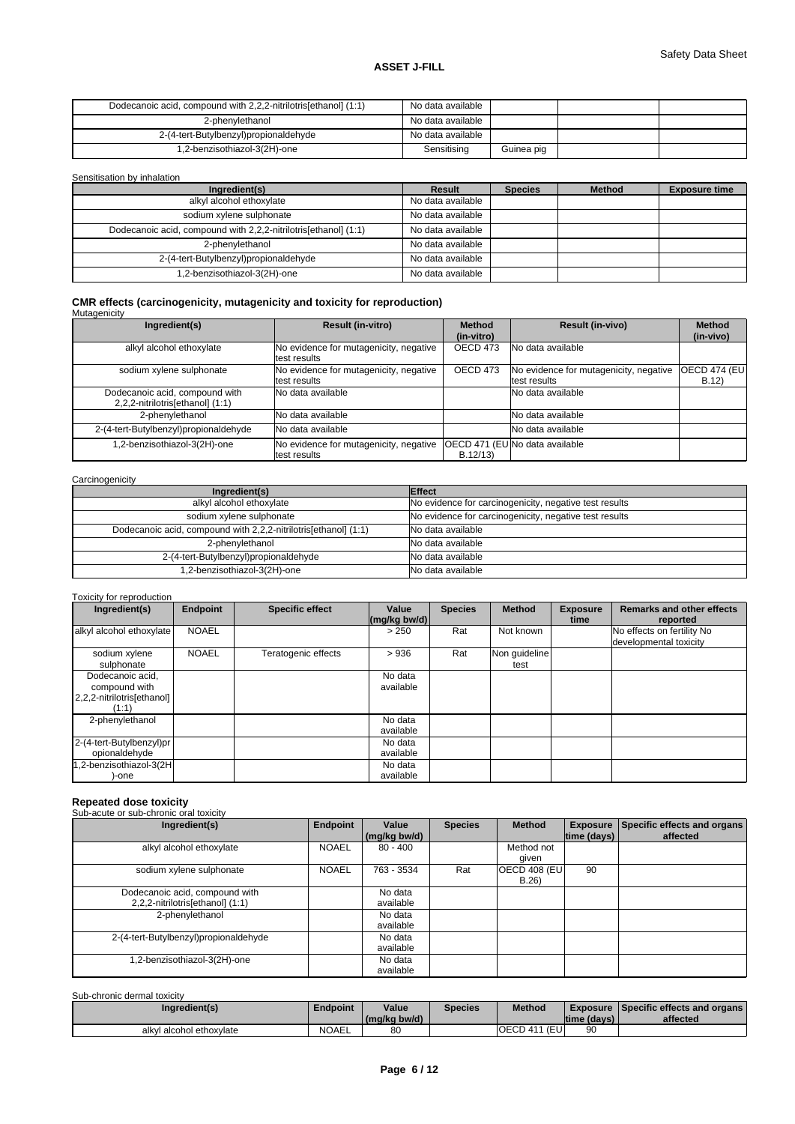# **ASSET J-FILL**

| Dodecanoic acid, compound with 2,2,2-nitrilotris [ethanol] (1:1) | No data available |            |  |
|------------------------------------------------------------------|-------------------|------------|--|
| 2-phenvlethanol                                                  | No data available |            |  |
| 2-(4-tert-Butylbenzyl)propionaldehyde                            | No data available |            |  |
| 1,2-benzisothiazol-3(2H)-one                                     | Sensitising       | Guinea pig |  |

#### Sensitisation by inhalation

| Ingredient(s)                                                   | Result            | <b>Species</b> | <b>Method</b> | <b>Exposure time</b> |
|-----------------------------------------------------------------|-------------------|----------------|---------------|----------------------|
| alkyl alcohol ethoxylate                                        | No data available |                |               |                      |
| sodium xylene sulphonate                                        | No data available |                |               |                      |
| Dodecanoic acid, compound with 2,2,2-nitrilotris[ethanol] (1:1) | No data available |                |               |                      |
| 2-phenvlethanol                                                 | No data available |                |               |                      |
| 2-(4-tert-Butylbenzyl)propionaldehyde                           | No data available |                |               |                      |
| .2-benzisothiazol-3(2H)-one                                     | No data available |                |               |                      |

# **CMR effects (carcinogenicity, mutagenicity and toxicity for reproduction)** Mutagenicity

| Ingredient(s)                         | <b>Result (in-vitro)</b>               | <b>Result (in-vivo)</b><br><b>Method</b> |                                        | <b>Method</b>        |
|---------------------------------------|----------------------------------------|------------------------------------------|----------------------------------------|----------------------|
|                                       |                                        | (in-vitro)                               |                                        | (in-vivo)            |
| alkyl alcohol ethoxylate              | No evidence for mutagenicity, negative | OECD 473                                 | No data available                      |                      |
|                                       | test results                           |                                          |                                        |                      |
| sodium xylene sulphonate              | No evidence for mutagenicity, negative | OECD 473                                 | No evidence for mutagenicity, negative | <b>OECD 474 (EU)</b> |
|                                       | test results                           |                                          | test results                           | B.12)                |
| Dodecanoic acid, compound with        | No data available                      |                                          | No data available                      |                      |
| 2,2,2-nitrilotris[ethanol] (1:1)      |                                        |                                          |                                        |                      |
| 2-phenylethanol                       | <b>No data available</b>               |                                          | No data available                      |                      |
| 2-(4-tert-Butylbenzyl)propionaldehyde | No data available                      |                                          | No data available                      |                      |
| .2-benzisothiazol-3(2H)-one           | No evidence for mutagenicity, negative |                                          | OECD 471 (EU No data available         |                      |
|                                       | test results                           | B.12/13                                  |                                        |                      |

#### **Carcinogenicity**

| Ingredient(s)                                                   | <b>Effect</b>                                          |
|-----------------------------------------------------------------|--------------------------------------------------------|
| alkyl alcohol ethoxylate                                        | No evidence for carcinogenicity, negative test results |
| sodium xylene sulphonate                                        | No evidence for carcinogenicity, negative test results |
| Dodecanoic acid, compound with 2,2,2-nitrilotris[ethanol] (1:1) | No data available                                      |
| 2-phenylethanol                                                 | No data available                                      |
| 2-(4-tert-Butylbenzyl)propionaldehyde                           | No data available                                      |
| .2-benzisothiazol-3(2H)-one                                     | No data available                                      |

#### Toxicity for reproduction

| Ingredient(s)                                                            | <b>Endpoint</b> | <b>Specific effect</b> | Value<br>$\left \frac{\text{mg}}{\text{kg}}\right $ bw/d) | <b>Species</b> | <b>Method</b>         | <b>Exposure</b><br>time | <b>Remarks and other effects</b><br>reported         |
|--------------------------------------------------------------------------|-----------------|------------------------|-----------------------------------------------------------|----------------|-----------------------|-------------------------|------------------------------------------------------|
| alkyl alcohol ethoxylate                                                 | <b>NOAEL</b>    |                        | > 250                                                     | Rat            | Not known             |                         | No effects on fertility No<br>developmental toxicity |
| sodium xylene<br>sulphonate                                              | <b>NOAEL</b>    | Teratogenic effects    | >936                                                      | Rat            | Non guideline<br>test |                         |                                                      |
| Dodecanoic acid,<br>compound with<br>2,2,2-nitrilotris[ethanol]<br>(1:1) |                 |                        | No data<br>available                                      |                |                       |                         |                                                      |
| 2-phenylethanol                                                          |                 |                        | No data<br>available                                      |                |                       |                         |                                                      |
| 2-(4-tert-Butylbenzyl)pr<br>opionaldehyde                                |                 |                        | No data<br>available                                      |                |                       |                         |                                                      |
| 1,2-benzisothiazol-3(2H<br>-one                                          |                 |                        | No data<br>available                                      |                |                       |                         |                                                      |

# **Repeated dose toxicity**

| Ingredient(s)                                                      | Endpoint     | Value<br>(mg/kg bw/d) | <b>Species</b> | <b>Method</b>        | time (days) | Exposure Specific effects and organs<br>affected |
|--------------------------------------------------------------------|--------------|-----------------------|----------------|----------------------|-------------|--------------------------------------------------|
| alkyl alcohol ethoxylate                                           | <b>NOAEL</b> | $80 - 400$            |                | Method not<br>qiven  |             |                                                  |
| sodium xylene sulphonate                                           | <b>NOAEL</b> | 763 - 3534            | Rat            | OECD 408 (EU<br>B.26 | 90          |                                                  |
| Dodecanoic acid, compound with<br>2,2,2-nitrilotris[ethanol] (1:1) |              | No data<br>available  |                |                      |             |                                                  |
| 2-phenylethanol                                                    |              | No data<br>available  |                |                      |             |                                                  |
| 2-(4-tert-Butylbenzyl)propionaldehyde                              |              | No data<br>available  |                |                      |             |                                                  |
| .2-benzisothiazol-3(2H)-one                                        |              | No data<br>available  |                |                      |             |                                                  |

#### Sub-chronic dermal toxicity

| Ingredient(s)            | <b>Endpoint</b> | Value<br>(mg/kg bw/d) | Species | Method                           | Itime (davs) | <b>Exposure Specific effects and organs</b><br>affected |
|--------------------------|-----------------|-----------------------|---------|----------------------------------|--------------|---------------------------------------------------------|
| alkyl alcohol ethoxylate | <b>NOAEL</b>    | 80                    |         | (EU<br>OECD <sub>41</sub><br>111 | 90           |                                                         |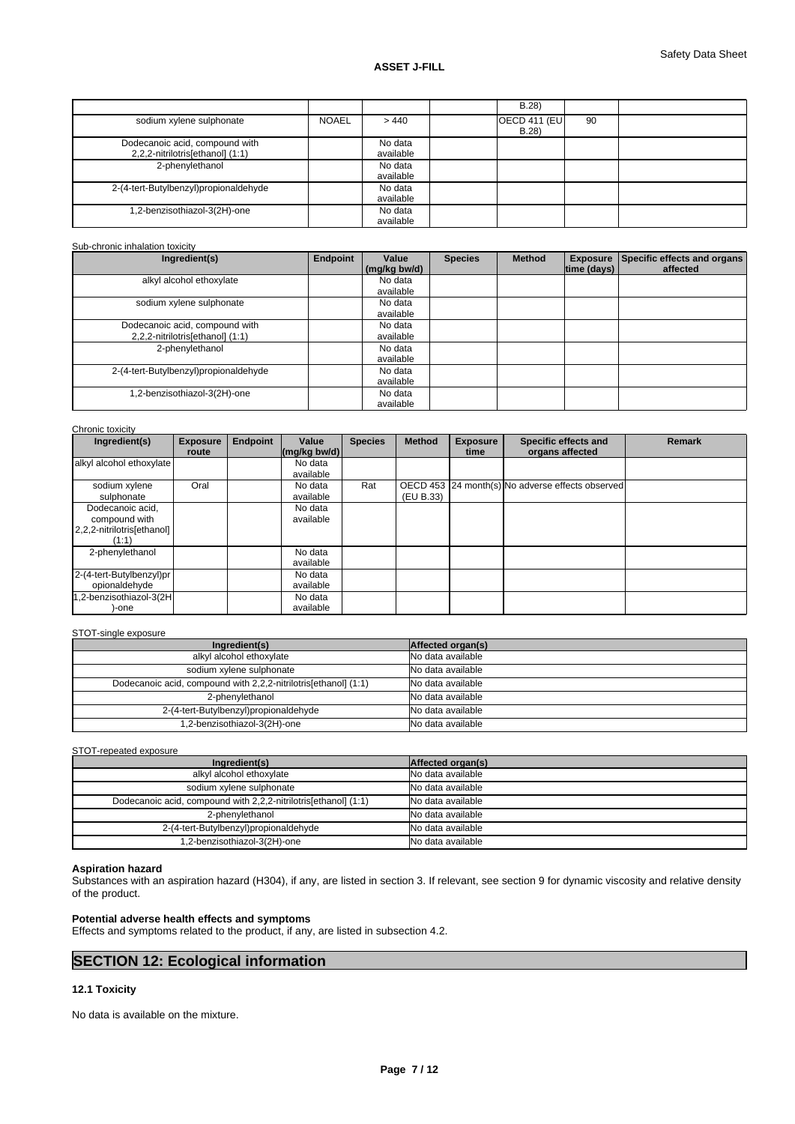|                                                                    |              |                      | B.28                         |    |  |
|--------------------------------------------------------------------|--------------|----------------------|------------------------------|----|--|
| sodium xylene sulphonate                                           | <b>NOAEL</b> | >440                 | <b>OECD 411 (EU)</b><br>B.28 | 90 |  |
| Dodecanoic acid, compound with<br>2,2,2-nitrilotris[ethanol] (1:1) |              | No data<br>available |                              |    |  |
| 2-phenylethanol                                                    |              | No data<br>available |                              |    |  |
| 2-(4-tert-Butylbenzyl)propionaldehyde                              |              | No data<br>available |                              |    |  |
| 1,2-benzisothiazol-3(2H)-one                                       |              | No data<br>available |                              |    |  |

Sub-chronic inhalation toxicity

| Ingredient(s)                         | <b>Endpoint</b> | Value        | <b>Species</b> | <b>Method</b> | <b>Exposure</b> | Specific effects and organs |
|---------------------------------------|-----------------|--------------|----------------|---------------|-----------------|-----------------------------|
|                                       |                 | (mg/kg bw/d) |                |               | time (days)     | affected                    |
| alkyl alcohol ethoxylate              |                 | No data      |                |               |                 |                             |
|                                       |                 | available    |                |               |                 |                             |
| sodium xylene sulphonate              |                 | No data      |                |               |                 |                             |
|                                       |                 | available    |                |               |                 |                             |
| Dodecanoic acid, compound with        |                 | No data      |                |               |                 |                             |
| 2,2,2-nitrilotris[ethanol] (1:1)      |                 | available    |                |               |                 |                             |
| 2-phenylethanol                       |                 | No data      |                |               |                 |                             |
|                                       |                 | available    |                |               |                 |                             |
| 2-(4-tert-Butylbenzyl)propionaldehyde |                 | No data      |                |               |                 |                             |
|                                       |                 | available    |                |               |                 |                             |
| 1,2-benzisothiazol-3(2H)-one          |                 | No data      |                |               |                 |                             |
|                                       |                 | available    |                |               |                 |                             |

Chronic toxicity

| <b>UNIONIC LUAIGHY</b><br>Ingredient(s) | <b>Exposure</b> | <b>Endpoint</b> | Value                                            | <b>Species</b> | <b>Method</b> | <b>Exposure</b> | Specific effects and                             | <b>Remark</b> |
|-----------------------------------------|-----------------|-----------------|--------------------------------------------------|----------------|---------------|-----------------|--------------------------------------------------|---------------|
|                                         | route           |                 | $\left \frac{\text{mg}}{\text{kg}}\right $ bw/d) |                |               | time            | organs affected                                  |               |
| alkyl alcohol ethoxylate                |                 |                 | No data                                          |                |               |                 |                                                  |               |
|                                         |                 |                 | available                                        |                |               |                 |                                                  |               |
| sodium xylene                           | Oral            |                 | No data                                          | Rat            |               |                 | OECD 453 24 month(s) No adverse effects observed |               |
| sulphonate                              |                 |                 | available                                        |                | (EU B.33)     |                 |                                                  |               |
| Dodecanoic acid,                        |                 |                 | No data                                          |                |               |                 |                                                  |               |
| compound with                           |                 |                 | available                                        |                |               |                 |                                                  |               |
| 2,2,2-nitrilotris[ethanol]              |                 |                 |                                                  |                |               |                 |                                                  |               |
| (1:1)                                   |                 |                 |                                                  |                |               |                 |                                                  |               |
| 2-phenylethanol                         |                 |                 | No data                                          |                |               |                 |                                                  |               |
|                                         |                 |                 | available                                        |                |               |                 |                                                  |               |
| 2-(4-tert-Butylbenzyl)pr                |                 |                 | No data                                          |                |               |                 |                                                  |               |
| opionaldehyde                           |                 |                 | available                                        |                |               |                 |                                                  |               |
| 1,2-benzisothiazol-3(2H                 |                 |                 | No data                                          |                |               |                 |                                                  |               |
| -one                                    |                 |                 | available                                        |                |               |                 |                                                  |               |

#### STOT-single exposure

| Ingredient(s)                                                   | Affected organ(s) |
|-----------------------------------------------------------------|-------------------|
| alkyl alcohol ethoxylate                                        | No data available |
| sodium xylene sulphonate                                        | No data available |
| Dodecanoic acid, compound with 2,2,2-nitrilotris[ethanol] (1:1) | No data available |
| 2-phenylethanol                                                 | No data available |
| 2-(4-tert-Butylbenzyl)propionaldehyde                           | No data available |
| 1,2-benzisothiazol-3(2H)-one                                    | No data available |

STOT-repeated exposure

| Ingredient(s)                                                   | Affected organ(s) |
|-----------------------------------------------------------------|-------------------|
| alkyl alcohol ethoxylate                                        | No data available |
| sodium xylene sulphonate                                        | No data available |
| Dodecanoic acid, compound with 2,2,2-nitrilotris[ethanol] (1:1) | No data available |
| 2-phenylethanol                                                 | No data available |
| 2-(4-tert-Butylbenzyl)propionaldehyde                           | No data available |
| 1,2-benzisothiazol-3(2H)-one                                    | No data available |

# **Aspiration hazard**

Substances with an aspiration hazard (H304), if any, are listed in section 3. If relevant, see section 9 for dynamic viscosity and relative density of the product.

# **Potential adverse health effects and symptoms**

Effects and symptoms related to the product, if any, are listed in subsection 4.2.

# **SECTION 12: Ecological information**

# **12.1 Toxicity**

No data is available on the mixture.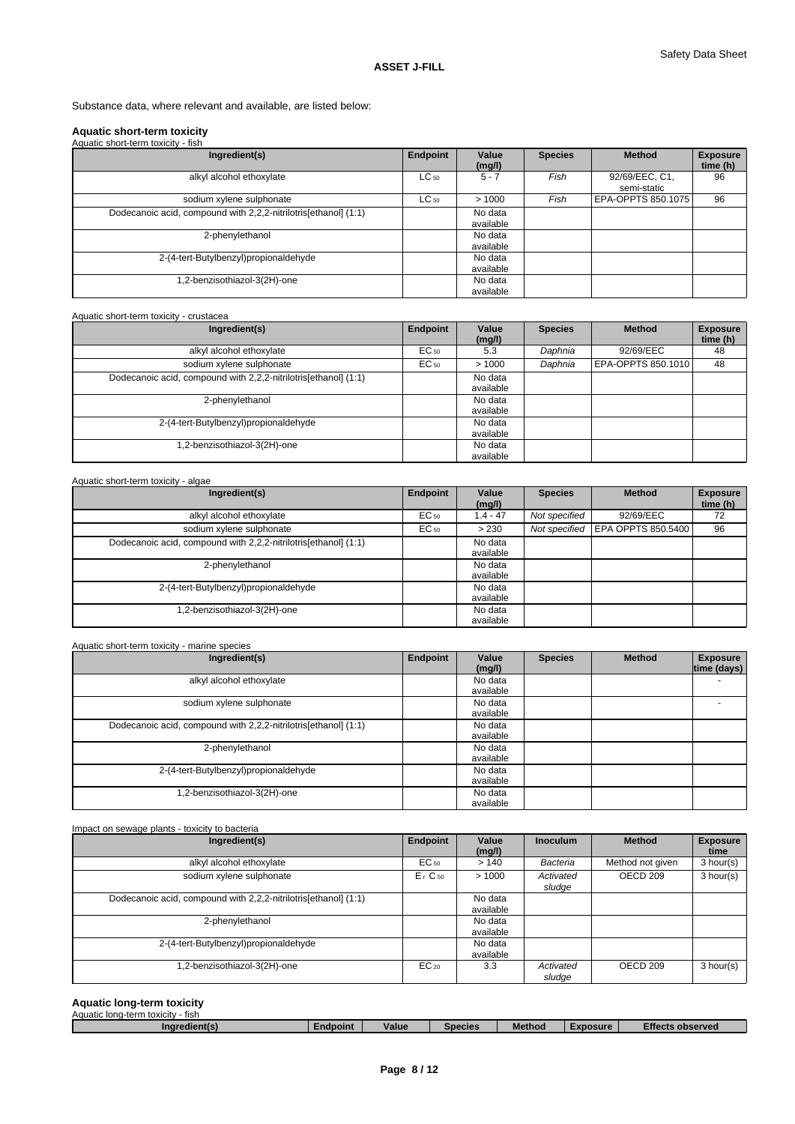Substance data, where relevant and available, are listed below:

#### **Aquatic short-term toxicity** Aquatic short-term toxicity - fish

| Ingredient(s)                                                   | Endpoint  | Value<br>(mg/l)      | <b>Species</b> | <b>Method</b>                 | <b>Exposure</b><br>time (h) |
|-----------------------------------------------------------------|-----------|----------------------|----------------|-------------------------------|-----------------------------|
| alkyl alcohol ethoxylate                                        | $LC_{50}$ | $5 - 7$              | Fish           | 92/69/EEC, C1,<br>semi-static | 96                          |
| sodium xylene sulphonate                                        | $LC_{50}$ | >1000                | Fish           | EPA-OPPTS 850.1075            | 96                          |
| Dodecanoic acid, compound with 2,2,2-nitrilotris[ethanol] (1:1) |           | No data<br>available |                |                               |                             |
| 2-phenylethanol                                                 |           | No data<br>available |                |                               |                             |
| 2-(4-tert-Butylbenzyl)propionaldehyde                           |           | No data<br>available |                |                               |                             |
| 1,2-benzisothiazol-3(2H)-one                                    |           | No data<br>available |                |                               |                             |

#### Aquatic short-term toxicity - crustacea

| Ingredient(s)                                                   | Endpoint         | Value<br>(mg/l)      | <b>Species</b> | <b>Method</b>      | <b>Exposure</b><br>time (h) |
|-----------------------------------------------------------------|------------------|----------------------|----------------|--------------------|-----------------------------|
| alkyl alcohol ethoxylate                                        | EC <sub>50</sub> | 5.3                  | Daphnia        | 92/69/EEC          | 48                          |
| sodium xylene sulphonate                                        | EC <sub>50</sub> | >1000                | Daphnia        | EPA-OPPTS 850.1010 | 48                          |
| Dodecanoic acid, compound with 2,2,2-nitrilotris[ethanol] (1:1) |                  | No data<br>available |                |                    |                             |
| 2-phenylethanol                                                 |                  | No data<br>available |                |                    |                             |
| 2-(4-tert-Butylbenzyl)propionaldehyde                           |                  | No data<br>available |                |                    |                             |
| 1,2-benzisothiazol-3(2H)-one                                    |                  | No data<br>available |                |                    |                             |

#### Aquatic short-term toxicity - algae **Ingredient(s) Endpoint Value** Species **(mg/l) Method** Exposure **time (h)**  alkyl alcohol ethoxylate **EC<sub>50</sub>** 1.4 - 47 *Not specified* 92/69/EEC 72 sodium xylene sulphonate **EC<sub>50</sub>**  $\left|$  EC<sub>50</sub>  $\right|$  > 230 *Not specified* EPA OPPTS 850.5400 96 Dodecanoic acid, compound with 2,2,2-nitrilotris[ethanol] (1:1) No data available 2-phenylethanol No data available 2-(4-tert-Butylbenzyl)propionaldehyde No data available 1,2-benzisothiazol-3(2H)-one No data available

| Aquatic short-term toxicity - marine species                    |          |                      |                |               |                                |
|-----------------------------------------------------------------|----------|----------------------|----------------|---------------|--------------------------------|
| Ingredient(s)                                                   | Endpoint | Value<br>(mg/l)      | <b>Species</b> | <b>Method</b> | <b>Exposure</b><br>time (days) |
| alkyl alcohol ethoxylate                                        |          | No data<br>available |                |               |                                |
| sodium xylene sulphonate                                        |          | No data<br>available |                |               |                                |
| Dodecanoic acid, compound with 2,2,2-nitrilotris[ethanol] (1:1) |          | No data<br>available |                |               |                                |
| 2-phenylethanol                                                 |          | No data<br>available |                |               |                                |
| 2-(4-tert-Butylbenzyl)propionaldehyde                           |          | No data<br>available |                |               |                                |
| 1,2-benzisothiazol-3(2H)-one                                    |          | No data<br>available |                |               |                                |

| Impact on sewage plants - toxicity to bacteria                  |                      |                      |                     |                     |                         |
|-----------------------------------------------------------------|----------------------|----------------------|---------------------|---------------------|-------------------------|
| Ingredient(s)                                                   | Endpoint             | Value<br>(mg/l)      | <b>Inoculum</b>     | <b>Method</b>       | <b>Exposure</b><br>time |
| alkyl alcohol ethoxylate                                        | $EC_{50}$            | >140                 | Bacteria            | Method not given    | 3 hour(s)               |
| sodium xylene sulphonate                                        | $Er$ C <sub>50</sub> | >1000                | Activated<br>sludge | OECD <sub>209</sub> | 3 hour(s)               |
| Dodecanoic acid, compound with 2,2,2-nitrilotris[ethanol] (1:1) |                      | No data<br>available |                     |                     |                         |
| 2-phenylethanol                                                 |                      | No data<br>available |                     |                     |                         |
| 2-(4-tert-Butylbenzyl)propionaldehyde                           |                      | No data<br>available |                     |                     |                         |
| .2-benzisothiazol-3(2H)-one                                     | $EC_{20}$            | 3.3                  | Activated<br>sludge | OECD <sub>209</sub> | 3 hour(s)               |

#### **Aquatic long-term toxicity**

| Aquatic long-term toxicity<br>∵- fish |                 |       |                |               |                 |                         |
|---------------------------------------|-----------------|-------|----------------|---------------|-----------------|-------------------------|
| Ingredient(s)                         | <b>Endpoint</b> | Value | <b>Species</b> | <b>Method</b> | <b>Exposure</b> | <b>Effects observed</b> |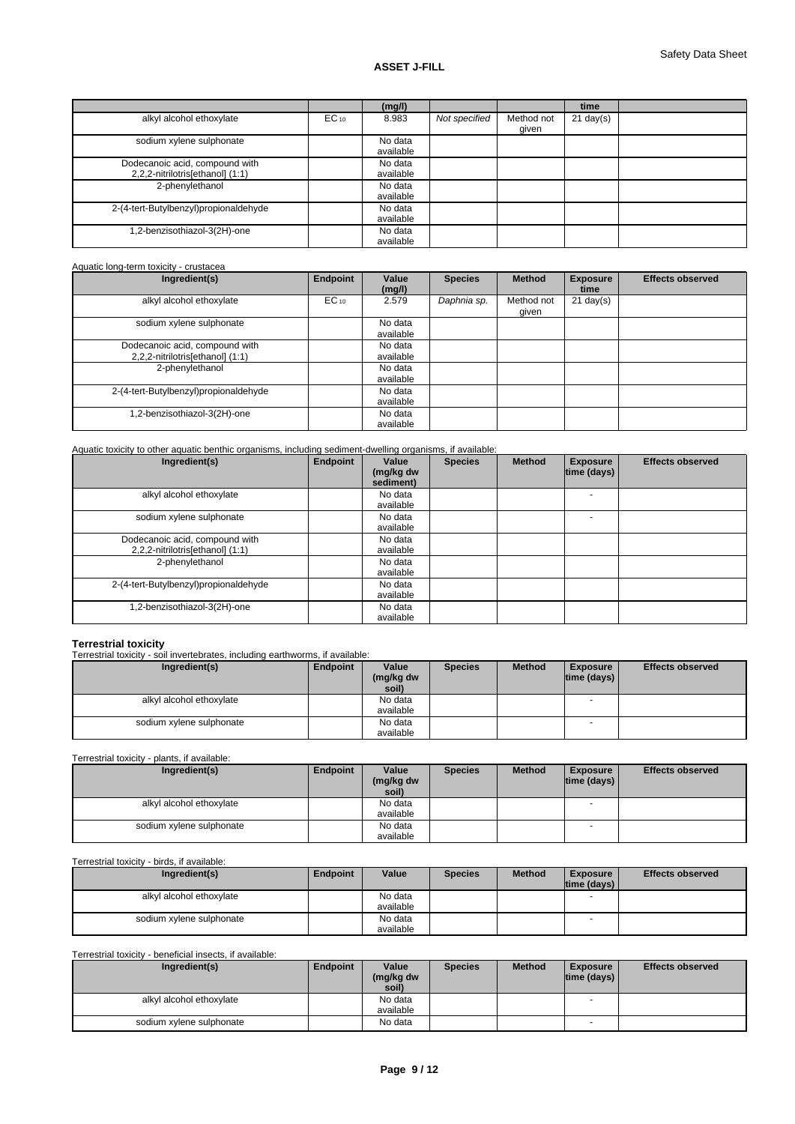|                                       |           | (mg/l)    |               |            | time                |  |
|---------------------------------------|-----------|-----------|---------------|------------|---------------------|--|
| alkyl alcohol ethoxylate              | $EC_{10}$ | 8.983     | Not specified | Method not | $21 \text{ day}(s)$ |  |
|                                       |           |           |               | given      |                     |  |
| sodium xylene sulphonate              |           | No data   |               |            |                     |  |
|                                       |           | available |               |            |                     |  |
| Dodecanoic acid, compound with        |           | No data   |               |            |                     |  |
| 2,2,2-nitrilotris[ethanol] (1:1)      |           | available |               |            |                     |  |
| 2-phenylethanol                       |           | No data   |               |            |                     |  |
|                                       |           | available |               |            |                     |  |
| 2-(4-tert-Butylbenzyl)propionaldehyde |           | No data   |               |            |                     |  |
|                                       |           | available |               |            |                     |  |
| .2-benzisothiazol-3(2H)-one           |           | No data   |               |            |                     |  |
|                                       |           | available |               |            |                     |  |

| Ingredient(s)                                                      | Endpoint  | Value<br>(mg/l)      | <b>Species</b> | <b>Method</b>       | <b>Exposure</b><br>time | <b>Effects observed</b> |
|--------------------------------------------------------------------|-----------|----------------------|----------------|---------------------|-------------------------|-------------------------|
| alkyl alcohol ethoxylate                                           | $EC_{10}$ | 2.579                | Daphnia sp.    | Method not<br>given | $21 \text{ day}(s)$     |                         |
| sodium xylene sulphonate                                           |           | No data<br>available |                |                     |                         |                         |
| Dodecanoic acid, compound with<br>2,2,2-nitrilotris[ethanol] (1:1) |           | No data<br>available |                |                     |                         |                         |
| 2-phenylethanol                                                    |           | No data<br>available |                |                     |                         |                         |
| 2-(4-tert-Butylbenzyl)propionaldehyde                              |           | No data<br>available |                |                     |                         |                         |
| 1,2-benzisothiazol-3(2H)-one                                       |           | No data<br>available |                |                     |                         |                         |

| Ingredient(s)                                                      | Endpoint | Value<br>(mg/kg dw<br>sediment) | <b>Species</b> | <b>Method</b> | <b>Exposure</b><br>time (days) | <b>Effects observed</b> |
|--------------------------------------------------------------------|----------|---------------------------------|----------------|---------------|--------------------------------|-------------------------|
| alkyl alcohol ethoxylate                                           |          | No data<br>available            |                |               |                                |                         |
| sodium xylene sulphonate                                           |          | No data<br>available            |                |               |                                |                         |
| Dodecanoic acid, compound with<br>2,2,2-nitrilotris[ethanol] (1:1) |          | No data<br>available            |                |               |                                |                         |
| 2-phenylethanol                                                    |          | No data<br>available            |                |               |                                |                         |
| 2-(4-tert-Butylbenzyl)propionaldehyde                              |          | No data<br>available            |                |               |                                |                         |
| 1,2-benzisothiazol-3(2H)-one                                       |          | No data<br>available            |                |               |                                |                         |

**Terrestrial toxicity** Terrestrial toxicity - soil invertebrates, including earthworms, if available:

| Ingredient(s)            | Endpoint | Value<br>(mg/kg dw<br>soil) | <b>Species</b> | <b>Method</b> | <b>Exposure</b><br> time (days) | <b>Effects observed</b> |
|--------------------------|----------|-----------------------------|----------------|---------------|---------------------------------|-------------------------|
| alkyl alcohol ethoxylate |          | No data<br>available        |                |               | $\overline{\phantom{a}}$        |                         |
| sodium xylene sulphonate |          | No data                     |                |               | . .                             |                         |
|                          |          | available                   |                |               |                                 |                         |

Terrestrial toxicity - plants, if available:

| Ingredient(s)            | Endpoint | Value<br>(mg/kg dw<br>soil) | <b>Species</b> | <b>Method</b> | <b>Exposure</b><br> time (days) | <b>Effects observed</b> |
|--------------------------|----------|-----------------------------|----------------|---------------|---------------------------------|-------------------------|
| alkyl alcohol ethoxylate |          | No data                     |                |               |                                 |                         |
|                          |          | available                   |                |               |                                 |                         |
| sodium xylene sulphonate |          | No data                     |                |               | $\overline{\phantom{a}}$        |                         |
|                          |          | available                   |                |               |                                 |                         |

Terrestrial toxicity - birds, if available:

| Ingredient(s)            | Endpoint | Value                | <b>Species</b> | <b>Method</b> | <b>Exposure</b><br>$ time$ (days) $ $ | <b>Effects observed</b> |
|--------------------------|----------|----------------------|----------------|---------------|---------------------------------------|-------------------------|
| alkyl alcohol ethoxylate |          | No data<br>available |                |               |                                       |                         |
| sodium xylene sulphonate |          | No data<br>available |                |               |                                       |                         |

Terrestrial toxicity - beneficial insects, if available:

| Ingredient(s)            | Endpoint | Value     | <b>Species</b> | <b>Method</b> | <b>Exposure</b> | <b>Effects observed</b> |
|--------------------------|----------|-----------|----------------|---------------|-----------------|-------------------------|
|                          |          | (mg/kg dw |                |               | time (days)     |                         |
|                          |          | soil)     |                |               |                 |                         |
| alkyl alcohol ethoxylate |          | No data   |                |               |                 |                         |
|                          |          | available |                |               |                 |                         |
| sodium xylene sulphonate |          | No data   |                |               |                 |                         |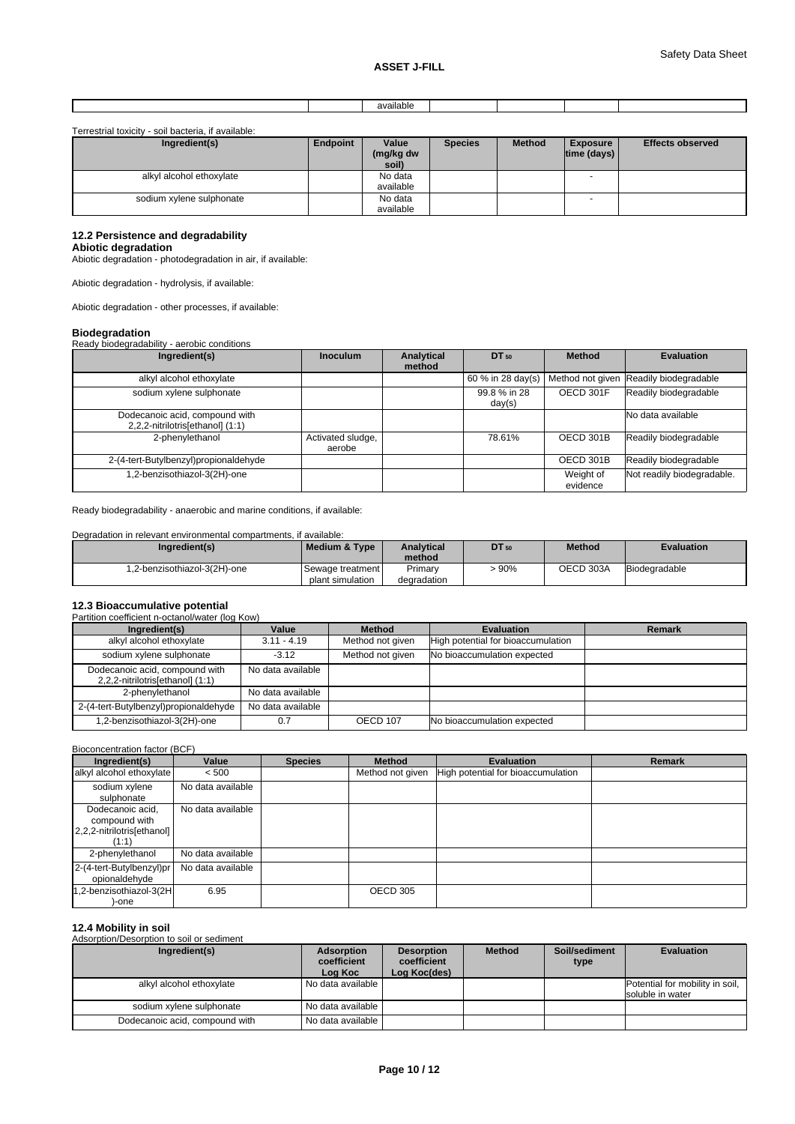Terrestrial toxicity - soil bacteria, if available:

| Ingredient(s)            | Endpoint | Value<br>(mg/kg dw<br>soil) | <b>Species</b> | <b>Method</b> | <b>Exposure</b><br> time (days) | <b>Effects observed</b> |
|--------------------------|----------|-----------------------------|----------------|---------------|---------------------------------|-------------------------|
| alkyl alcohol ethoxylate |          | No data                     |                |               | $\overline{\phantom{a}}$        |                         |
|                          |          | available                   |                |               |                                 |                         |
| sodium xylene sulphonate |          | No data                     |                |               |                                 |                         |
|                          |          | available                   |                |               |                                 |                         |

#### **12.2 Persistence and degradability**

**Abiotic degradation** Abiotic degradation - photodegradation in air, if available:

Abiotic degradation - hydrolysis, if available:

Abiotic degradation - other processes, if available:

# **Biodegradation**

| <b>Divuuyi uuutivii</b><br>Ready biodegradability - aerobic conditions |                             |                      |                        |                       |                                                            |
|------------------------------------------------------------------------|-----------------------------|----------------------|------------------------|-----------------------|------------------------------------------------------------|
| Ingredient(s)                                                          | Inoculum                    | Analytical<br>method | DT 50                  | <b>Method</b>         | <b>Evaluation</b>                                          |
| alkyl alcohol ethoxylate                                               |                             |                      |                        |                       | 60 % in 28 day(s)   Method not given Readily biodegradable |
| sodium xylene sulphonate                                               |                             |                      | 99.8 % in 28<br>day(s) | OECD 301F             | Readily biodegradable                                      |
| Dodecanoic acid, compound with<br>2,2,2-nitrilotris[ethanol] (1:1)     |                             |                      |                        |                       | No data available                                          |
| 2-phenylethanol                                                        | Activated sludge,<br>aerobe |                      | 78.61%                 | OECD 301B             | Readily biodegradable                                      |
| 2-(4-tert-Butylbenzyl)propionaldehyde                                  |                             |                      |                        | OECD 301B             | Readily biodegradable                                      |
| 1,2-benzisothiazol-3(2H)-one                                           |                             |                      |                        | Weight of<br>evidence | Not readily biodegradable.                                 |

Ready biodegradability - anaerobic and marine conditions, if available:

Degradation in relevant environmental compartments, if available:

| Ingredient(s)                | Medium & Type                            | <b>Analytical</b><br>method | <b>DT</b> 50 | <b>Method</b> | <b>Evaluation</b> |
|------------------------------|------------------------------------------|-----------------------------|--------------|---------------|-------------------|
| 1,2-benzisothiazol-3(2H)-one | I Sewaαe treatment l<br>plant simulation | Primary<br>degradation      | 90%          | OECD 303A     | Biodegradable     |

#### **12.3 Bioaccumulative potential**  $P(\text{on } K_{\text{OM}})$

| annuoli coefficient il octanoli water (log i tow)                  |                   |                  |                                    |        |  |  |
|--------------------------------------------------------------------|-------------------|------------------|------------------------------------|--------|--|--|
| Ingredient(s)                                                      | Value             | <b>Method</b>    | Evaluation                         | Remark |  |  |
| alkyl alcohol ethoxylate                                           | $3.11 - 4.19$     | Method not given | High potential for bioaccumulation |        |  |  |
| sodium xylene sulphonate                                           | $-3.12$           | Method not given | No bioaccumulation expected        |        |  |  |
| Dodecanoic acid, compound with<br>2,2,2-nitrilotris[ethanol] (1:1) | No data available |                  |                                    |        |  |  |
| 2-phenylethanol                                                    | No data available |                  |                                    |        |  |  |
| 2-(4-tert-Butylbenzyl)propionaldehyde                              | No data available |                  |                                    |        |  |  |
| 1,2-benzisothiazol-3(2H)-one                                       | 0.7               | <b>OECD 107</b>  | No bioaccumulation expected        |        |  |  |

#### Bioconcentration factor (BCF)

| Ingredient(s)                                                            | Value             | <b>Species</b> | <b>Method</b>    | <b>Evaluation</b>                  | Remark |
|--------------------------------------------------------------------------|-------------------|----------------|------------------|------------------------------------|--------|
| alkyl alcohol ethoxylate                                                 | < 500             |                | Method not given | High potential for bioaccumulation |        |
| sodium xylene<br>sulphonate                                              | No data available |                |                  |                                    |        |
| Dodecanoic acid,<br>compound with<br>2,2,2-nitrilotris[ethanol]<br>(1:1) | No data available |                |                  |                                    |        |
| 2-phenylethanol                                                          | No data available |                |                  |                                    |        |
| 2-(4-tert-Butylbenzyl)pr<br>opionaldehyde                                | No data available |                |                  |                                    |        |
| 1,2-benzisothiazol-3(2H<br>-one                                          | 6.95              |                | OECD 305         |                                    |        |

### **12.4 Mobility in soil**

# Adsorption/Desorption to soil or sediment

| Ingredient(s)                  | Adsorption<br>coefficient<br>Log Koc | <b>Desorption</b><br>coefficient<br>Log Koc(des) | <b>Method</b> | Soil/sediment<br>type | <b>Evaluation</b>                                   |
|--------------------------------|--------------------------------------|--------------------------------------------------|---------------|-----------------------|-----------------------------------------------------|
| alkyl alcohol ethoxylate       | l No data available I                |                                                  |               |                       | Potential for mobility in soil,<br>soluble in water |
| sodium xylene sulphonate       | l No data available l                |                                                  |               |                       |                                                     |
| Dodecanoic acid, compound with | l No data available I                |                                                  |               |                       |                                                     |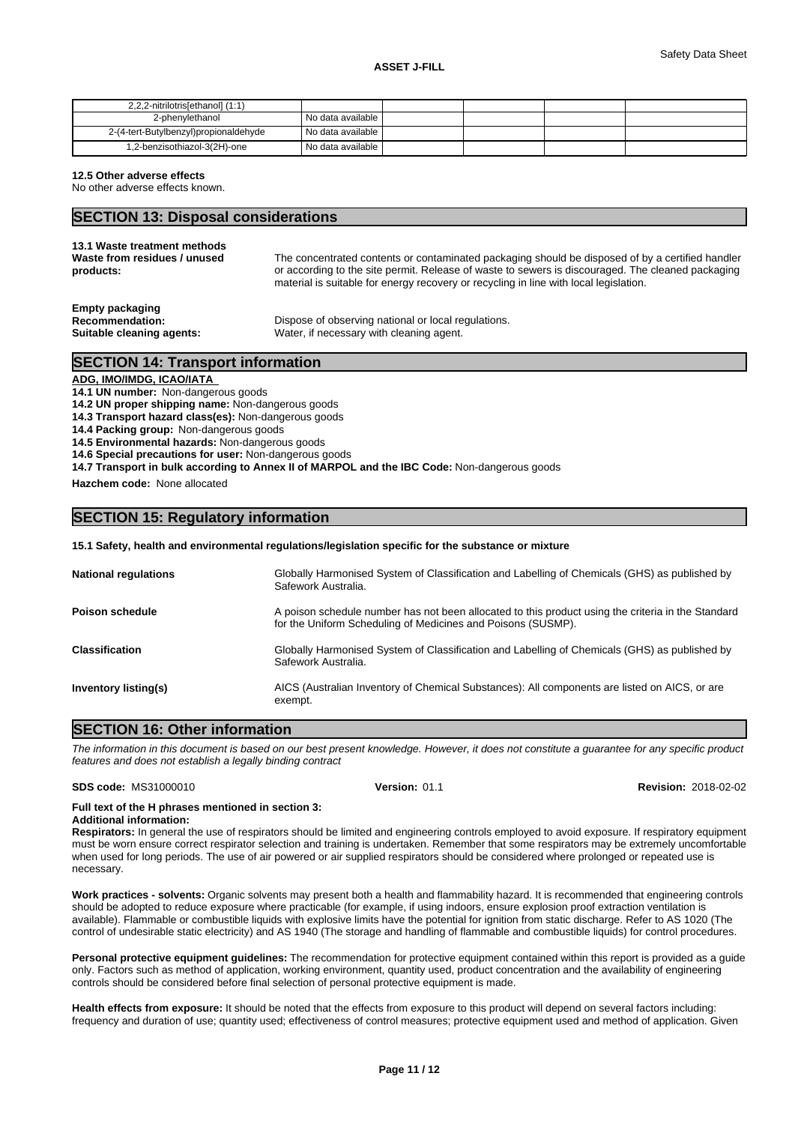| 2,2,2-nitrilotris[ethanol] (1:1)      |                   |  |  |
|---------------------------------------|-------------------|--|--|
| 2-phenylethanol                       | No data available |  |  |
| 2-(4-tert-Butylbenzyl)propionaldehyde | No data available |  |  |
| 1,2-benzisothiazol-3(2H)-one          | No data available |  |  |

**12.5 Other adverse effects**

No other adverse effects known.

# **SECTION 13: Disposal considerations**

| 13.1 Waste treatment methods                                                  | The concentrated contents or contaminated packaging should be disposed of by a certified handler  |
|-------------------------------------------------------------------------------|---------------------------------------------------------------------------------------------------|
| Waste from residues / unused                                                  | or according to the site permit. Release of waste to sewers is discouraged. The cleaned packaging |
| products:                                                                     | material is suitable for energy recovery or recycling in line with local legislation.             |
| <b>Empty packaging</b><br><b>Recommendation:</b><br>Suitable cleaning agents: | Dispose of observing national or local regulations.<br>Water, if necessary with cleaning agent.   |

# **SECTION 14: Transport information**

# **ADG, IMO/IMDG, ICAO/IATA**

**14.1 UN number:** Non-dangerous goods

**14.2 UN proper shipping name:** Non-dangerous goods

**14.3 Transport hazard class(es):** Non-dangerous goods

**14.4 Packing group:** Non-dangerous goods

**14.5 Environmental hazards:** Non-dangerous goods

**14.6 Special precautions for user:** Non-dangerous goods

**14.7 Transport in bulk according to Annex II of MARPOL and the IBC Code:** Non-dangerous goods

**Hazchem code:** None allocated

# **SECTION 15: Regulatory information**

**15.1 Safety, health and environmental regulations/legislation specific for the substance or mixture**

| <b>National regulations</b> | Globally Harmonised System of Classification and Labelling of Chemicals (GHS) as published by<br>Safework Australia.                                               |
|-----------------------------|--------------------------------------------------------------------------------------------------------------------------------------------------------------------|
| <b>Poison schedule</b>      | A poison schedule number has not been allocated to this product using the criteria in the Standard<br>for the Uniform Scheduling of Medicines and Poisons (SUSMP). |
| <b>Classification</b>       | Globally Harmonised System of Classification and Labelling of Chemicals (GHS) as published by<br>Safework Australia.                                               |
| <b>Inventory listing(s)</b> | AICS (Australian Inventory of Chemical Substances): All components are listed on AICS, or are<br>exempt.                                                           |

# **SECTION 16: Other information**

*The information in this document is based on our best present knowledge. However, it does not constitute a guarantee for any specific product features and does not establish a legally binding contract*

#### **SDS code:** MS31000010 **Version:** 01.1 **Revision:** 2018-02-02

# **Full text of the H phrases mentioned in section 3:**

**Additional information:**

**Respirators:** In general the use of respirators should be limited and engineering controls employed to avoid exposure. If respiratory equipment must be worn ensure correct respirator selection and training is undertaken. Remember that some respirators may be extremely uncomfortable when used for long periods. The use of air powered or air supplied respirators should be considered where prolonged or repeated use is necessary.

**Work practices - solvents:** Organic solvents may present both a health and flammability hazard. It is recommended that engineering controls should be adopted to reduce exposure where practicable (for example, if using indoors, ensure explosion proof extraction ventilation is available). Flammable or combustible liquids with explosive limits have the potential for ignition from static discharge. Refer to AS 1020 (The control of undesirable static electricity) and AS 1940 (The storage and handling of flammable and combustible liquids) for control procedures.

**Personal protective equipment guidelines:** The recommendation for protective equipment contained within this report is provided as a guide only. Factors such as method of application, working environment, quantity used, product concentration and the availability of engineering controls should be considered before final selection of personal protective equipment is made.

**Health effects from exposure:** It should be noted that the effects from exposure to this product will depend on several factors including: frequency and duration of use; quantity used; effectiveness of control measures; protective equipment used and method of application. Given